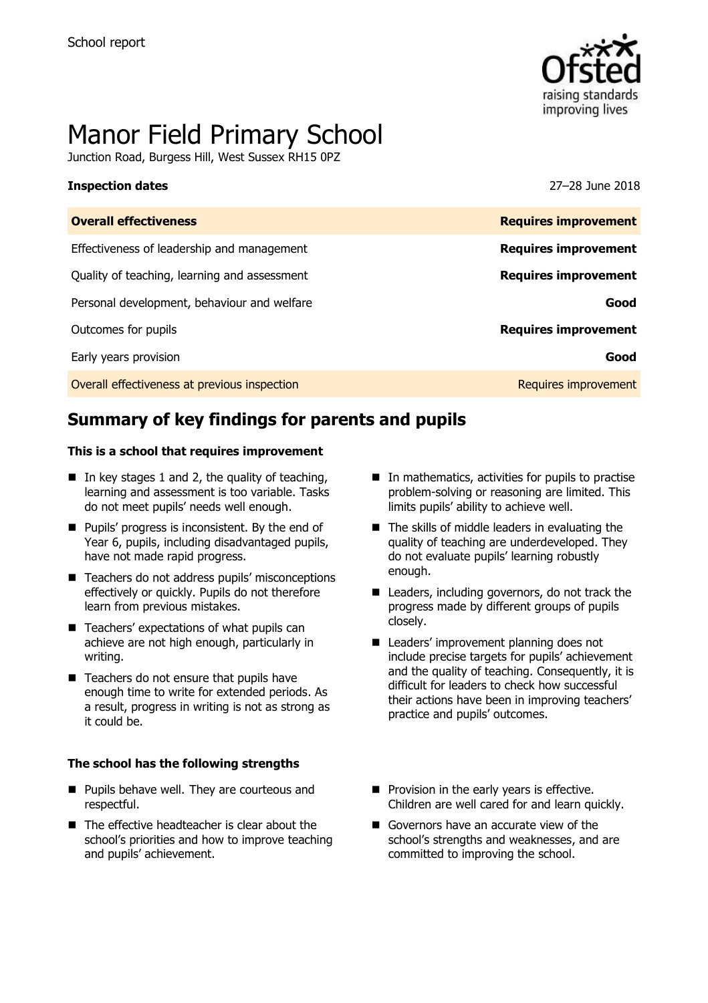

# Manor Field Primary School

Junction Road, Burgess Hill, West Sussex RH15 0PZ

#### **Inspection dates** 27–28 June 2018

| <b>Overall effectiveness</b>                 | <b>Requires improvement</b> |
|----------------------------------------------|-----------------------------|
| Effectiveness of leadership and management   | <b>Requires improvement</b> |
| Quality of teaching, learning and assessment | <b>Requires improvement</b> |
| Personal development, behaviour and welfare  | Good                        |
| Outcomes for pupils                          | <b>Requires improvement</b> |
| Early years provision                        | Good                        |
| Overall effectiveness at previous inspection | Requires improvement        |

# **Summary of key findings for parents and pupils**

#### **This is a school that requires improvement**

- In key stages 1 and 2, the quality of teaching, learning and assessment is too variable. Tasks do not meet pupils' needs well enough.
- **Pupils' progress is inconsistent. By the end of** Year 6, pupils, including disadvantaged pupils, have not made rapid progress.
- Teachers do not address pupils' misconceptions effectively or quickly. Pupils do not therefore learn from previous mistakes.
- Teachers' expectations of what pupils can achieve are not high enough, particularly in writing.
- Teachers do not ensure that pupils have enough time to write for extended periods. As a result, progress in writing is not as strong as it could be.

#### **The school has the following strengths**

- **Pupils behave well. They are courteous and** respectful.
- The effective headteacher is clear about the school's priorities and how to improve teaching and pupils' achievement.
- $\blacksquare$  In mathematics, activities for pupils to practise problem-solving or reasoning are limited. This limits pupils' ability to achieve well.
- $\blacksquare$  The skills of middle leaders in evaluating the quality of teaching are underdeveloped. They do not evaluate pupils' learning robustly enough.
- Leaders, including governors, do not track the progress made by different groups of pupils closely.
- Leaders' improvement planning does not include precise targets for pupils' achievement and the quality of teaching. Consequently, it is difficult for leaders to check how successful their actions have been in improving teachers' practice and pupils' outcomes.
- **Provision in the early years is effective.** Children are well cared for and learn quickly.
- Governors have an accurate view of the school's strengths and weaknesses, and are committed to improving the school.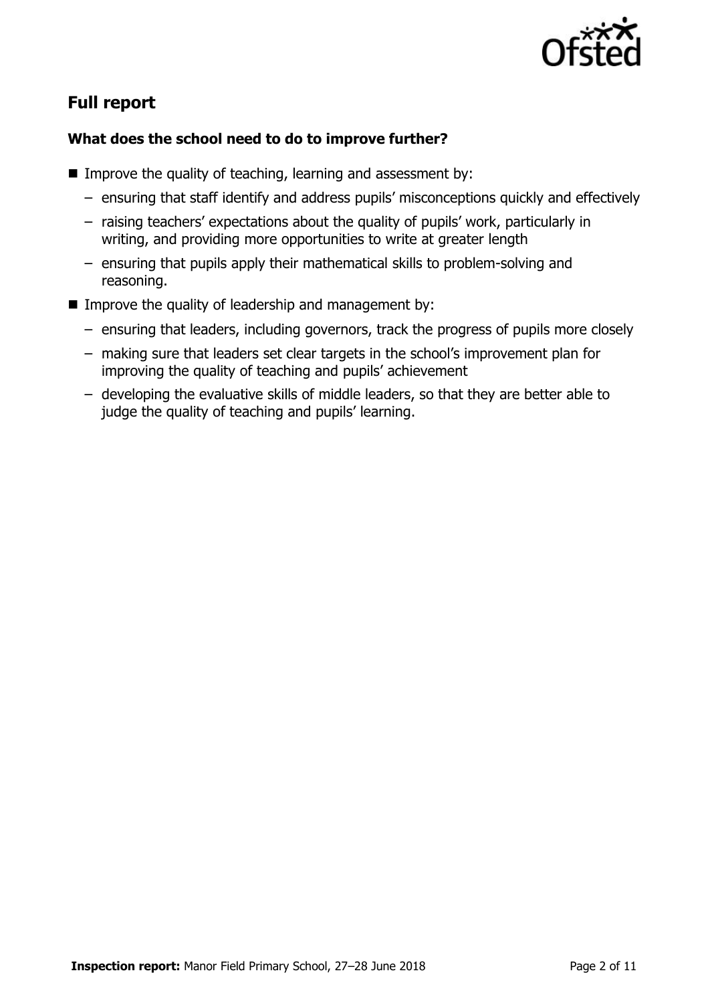

# **Full report**

### **What does the school need to do to improve further?**

- Improve the quality of teaching, learning and assessment by:
	- ensuring that staff identify and address pupils' misconceptions quickly and effectively
	- raising teachers' expectations about the quality of pupils' work, particularly in writing, and providing more opportunities to write at greater length
	- ensuring that pupils apply their mathematical skills to problem-solving and reasoning.
- Improve the quality of leadership and management by:
	- ensuring that leaders, including governors, track the progress of pupils more closely
	- making sure that leaders set clear targets in the school's improvement plan for improving the quality of teaching and pupils' achievement
	- developing the evaluative skills of middle leaders, so that they are better able to judge the quality of teaching and pupils' learning.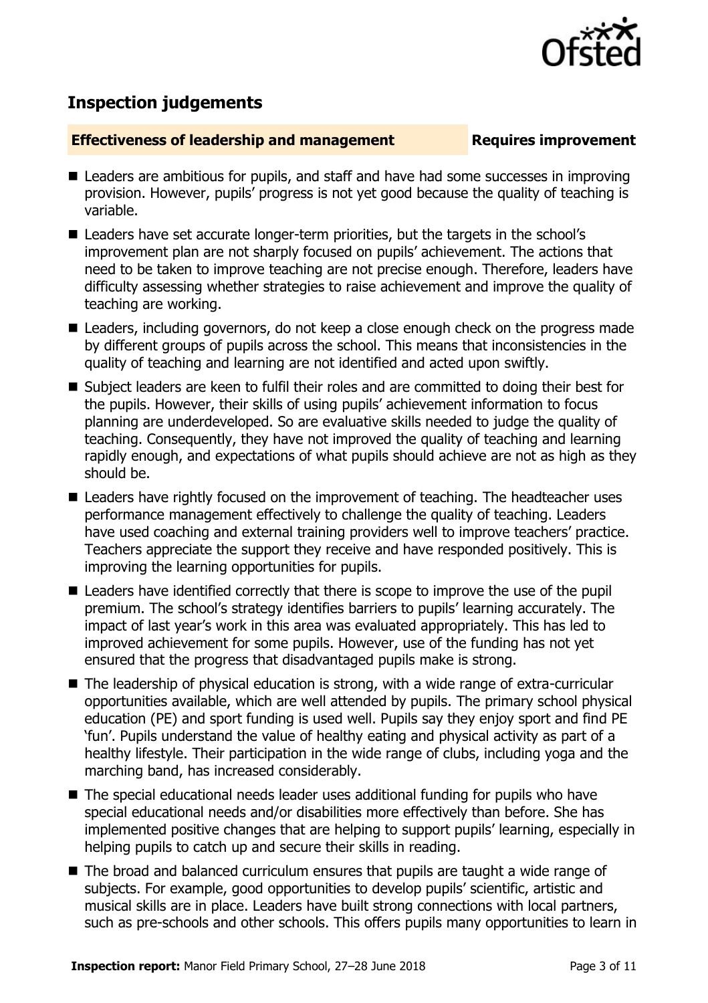

## **Inspection judgements**

#### **Effectiveness of leadership and management Requires improvement**

- Leaders are ambitious for pupils, and staff and have had some successes in improving provision. However, pupils' progress is not yet good because the quality of teaching is variable.
- Leaders have set accurate longer-term priorities, but the targets in the school's improvement plan are not sharply focused on pupils' achievement. The actions that need to be taken to improve teaching are not precise enough. Therefore, leaders have difficulty assessing whether strategies to raise achievement and improve the quality of teaching are working.
- Leaders, including governors, do not keep a close enough check on the progress made by different groups of pupils across the school. This means that inconsistencies in the quality of teaching and learning are not identified and acted upon swiftly.
- Subject leaders are keen to fulfil their roles and are committed to doing their best for the pupils. However, their skills of using pupils' achievement information to focus planning are underdeveloped. So are evaluative skills needed to judge the quality of teaching. Consequently, they have not improved the quality of teaching and learning rapidly enough, and expectations of what pupils should achieve are not as high as they should be.
- Leaders have rightly focused on the improvement of teaching. The headteacher uses performance management effectively to challenge the quality of teaching. Leaders have used coaching and external training providers well to improve teachers' practice. Teachers appreciate the support they receive and have responded positively. This is improving the learning opportunities for pupils.
- Leaders have identified correctly that there is scope to improve the use of the pupil premium. The school's strategy identifies barriers to pupils' learning accurately. The impact of last year's work in this area was evaluated appropriately. This has led to improved achievement for some pupils. However, use of the funding has not yet ensured that the progress that disadvantaged pupils make is strong.
- The leadership of physical education is strong, with a wide range of extra-curricular opportunities available, which are well attended by pupils. The primary school physical education (PE) and sport funding is used well. Pupils say they enjoy sport and find PE 'fun'. Pupils understand the value of healthy eating and physical activity as part of a healthy lifestyle. Their participation in the wide range of clubs, including yoga and the marching band, has increased considerably.
- The special educational needs leader uses additional funding for pupils who have special educational needs and/or disabilities more effectively than before. She has implemented positive changes that are helping to support pupils' learning, especially in helping pupils to catch up and secure their skills in reading.
- The broad and balanced curriculum ensures that pupils are taught a wide range of subjects. For example, good opportunities to develop pupils' scientific, artistic and musical skills are in place. Leaders have built strong connections with local partners, such as pre-schools and other schools. This offers pupils many opportunities to learn in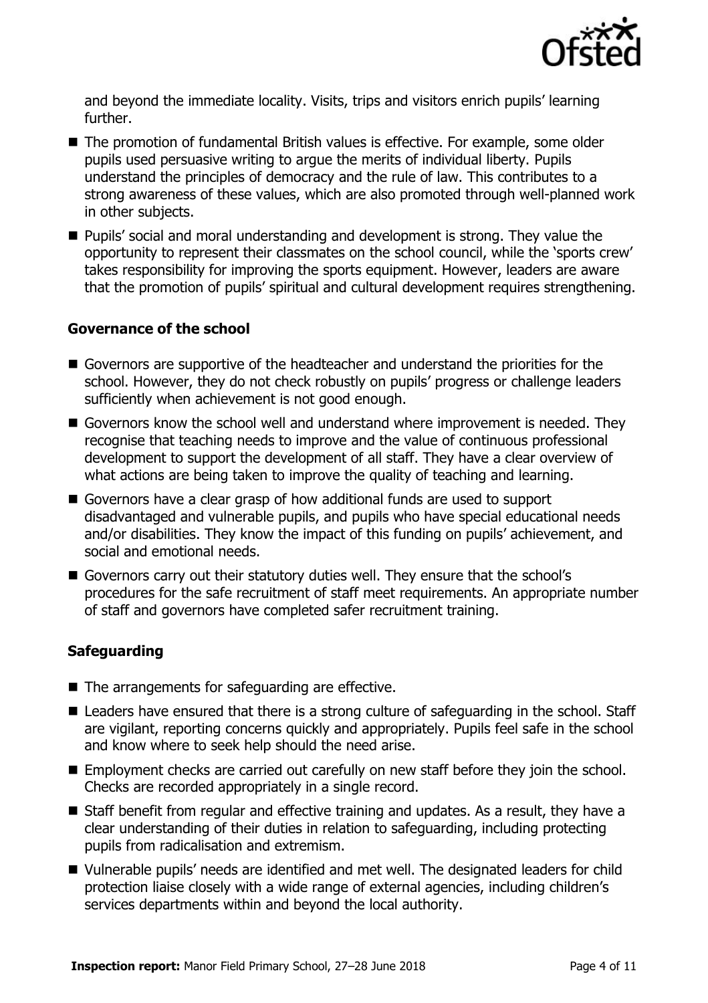

and beyond the immediate locality. Visits, trips and visitors enrich pupils' learning further.

- The promotion of fundamental British values is effective. For example, some older pupils used persuasive writing to argue the merits of individual liberty. Pupils understand the principles of democracy and the rule of law. This contributes to a strong awareness of these values, which are also promoted through well-planned work in other subjects.
- Pupils' social and moral understanding and development is strong. They value the opportunity to represent their classmates on the school council, while the 'sports crew' takes responsibility for improving the sports equipment. However, leaders are aware that the promotion of pupils' spiritual and cultural development requires strengthening.

#### **Governance of the school**

- Governors are supportive of the headteacher and understand the priorities for the school. However, they do not check robustly on pupils' progress or challenge leaders sufficiently when achievement is not good enough.
- Governors know the school well and understand where improvement is needed. They recognise that teaching needs to improve and the value of continuous professional development to support the development of all staff. They have a clear overview of what actions are being taken to improve the quality of teaching and learning.
- Governors have a clear grasp of how additional funds are used to support disadvantaged and vulnerable pupils, and pupils who have special educational needs and/or disabilities. They know the impact of this funding on pupils' achievement, and social and emotional needs.
- Governors carry out their statutory duties well. They ensure that the school's procedures for the safe recruitment of staff meet requirements. An appropriate number of staff and governors have completed safer recruitment training.

### **Safeguarding**

- The arrangements for safeguarding are effective.
- Leaders have ensured that there is a strong culture of safeguarding in the school. Staff are vigilant, reporting concerns quickly and appropriately. Pupils feel safe in the school and know where to seek help should the need arise.
- Employment checks are carried out carefully on new staff before they join the school. Checks are recorded appropriately in a single record.
- Staff benefit from regular and effective training and updates. As a result, they have a clear understanding of their duties in relation to safeguarding, including protecting pupils from radicalisation and extremism.
- Vulnerable pupils' needs are identified and met well. The designated leaders for child protection liaise closely with a wide range of external agencies, including children's services departments within and beyond the local authority.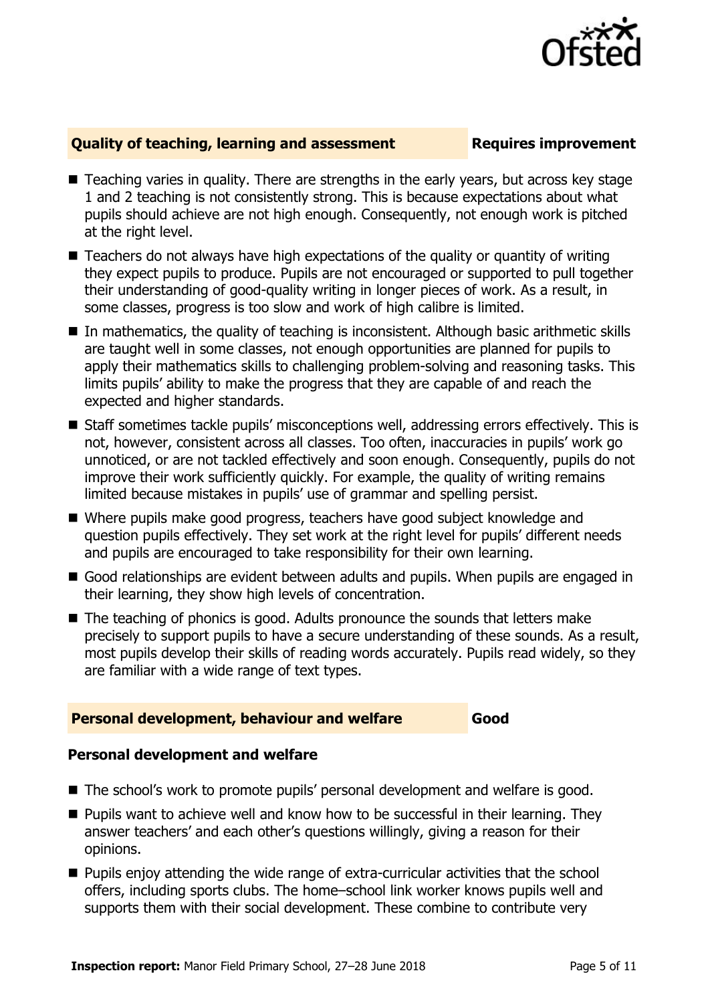

#### **Quality of teaching, learning and assessment Fig. 2.1 Requires improvement**

- Teaching varies in quality. There are strengths in the early years, but across key stage 1 and 2 teaching is not consistently strong. This is because expectations about what pupils should achieve are not high enough. Consequently, not enough work is pitched at the right level.
- Teachers do not always have high expectations of the quality or quantity of writing they expect pupils to produce. Pupils are not encouraged or supported to pull together their understanding of good-quality writing in longer pieces of work. As a result, in some classes, progress is too slow and work of high calibre is limited.
- In mathematics, the quality of teaching is inconsistent. Although basic arithmetic skills are taught well in some classes, not enough opportunities are planned for pupils to apply their mathematics skills to challenging problem-solving and reasoning tasks. This limits pupils' ability to make the progress that they are capable of and reach the expected and higher standards.
- Staff sometimes tackle pupils' misconceptions well, addressing errors effectively. This is not, however, consistent across all classes. Too often, inaccuracies in pupils' work go unnoticed, or are not tackled effectively and soon enough. Consequently, pupils do not improve their work sufficiently quickly. For example, the quality of writing remains limited because mistakes in pupils' use of grammar and spelling persist.
- Where pupils make good progress, teachers have good subject knowledge and question pupils effectively. They set work at the right level for pupils' different needs and pupils are encouraged to take responsibility for their own learning.
- Good relationships are evident between adults and pupils. When pupils are engaged in their learning, they show high levels of concentration.
- The teaching of phonics is good. Adults pronounce the sounds that letters make precisely to support pupils to have a secure understanding of these sounds. As a result, most pupils develop their skills of reading words accurately. Pupils read widely, so they are familiar with a wide range of text types.

### **Personal development, behaviour and welfare Good**

#### **Personal development and welfare**

- The school's work to promote pupils' personal development and welfare is good.
- $\blacksquare$  Pupils want to achieve well and know how to be successful in their learning. They answer teachers' and each other's questions willingly, giving a reason for their opinions.
- **Pupils enjoy attending the wide range of extra-curricular activities that the school** offers, including sports clubs. The home–school link worker knows pupils well and supports them with their social development. These combine to contribute very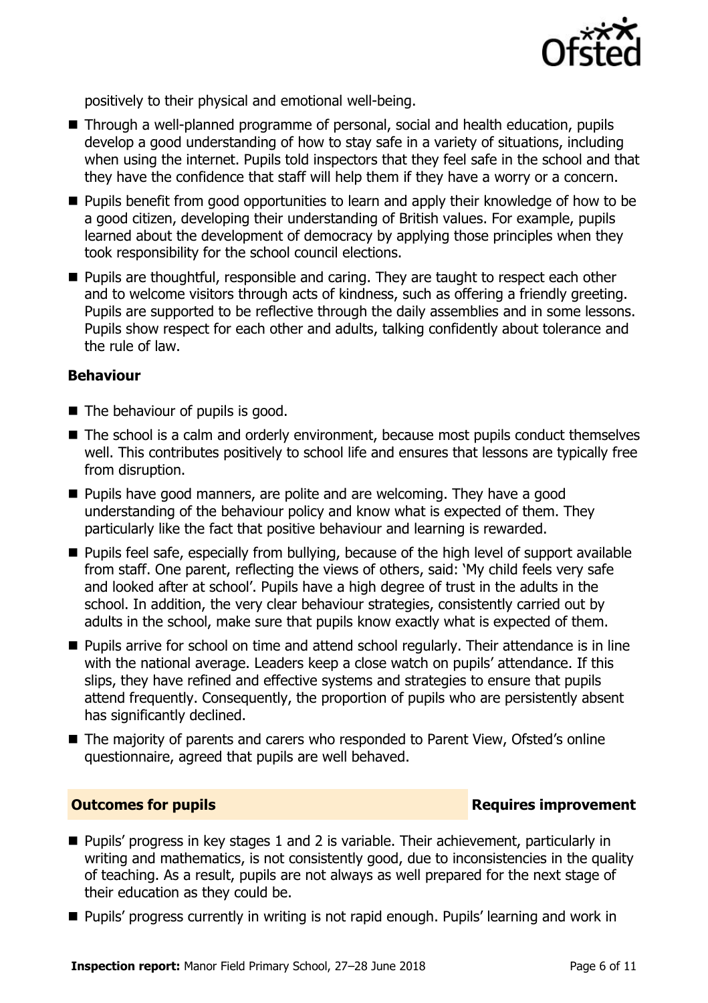

positively to their physical and emotional well-being.

- Through a well-planned programme of personal, social and health education, pupils develop a good understanding of how to stay safe in a variety of situations, including when using the internet. Pupils told inspectors that they feel safe in the school and that they have the confidence that staff will help them if they have a worry or a concern.
- **Pupils benefit from good opportunities to learn and apply their knowledge of how to be** a good citizen, developing their understanding of British values. For example, pupils learned about the development of democracy by applying those principles when they took responsibility for the school council elections.
- **Pupils are thoughtful, responsible and caring. They are taught to respect each other** and to welcome visitors through acts of kindness, such as offering a friendly greeting. Pupils are supported to be reflective through the daily assemblies and in some lessons. Pupils show respect for each other and adults, talking confidently about tolerance and the rule of law.

#### **Behaviour**

- The behaviour of pupils is good.
- The school is a calm and orderly environment, because most pupils conduct themselves well. This contributes positively to school life and ensures that lessons are typically free from disruption.
- $\blacksquare$  Pupils have good manners, are polite and are welcoming. They have a good understanding of the behaviour policy and know what is expected of them. They particularly like the fact that positive behaviour and learning is rewarded.
- **Pupils feel safe, especially from bullying, because of the high level of support available** from staff. One parent, reflecting the views of others, said: 'My child feels very safe and looked after at school'. Pupils have a high degree of trust in the adults in the school. In addition, the very clear behaviour strategies, consistently carried out by adults in the school, make sure that pupils know exactly what is expected of them.
- **Pupils arrive for school on time and attend school regularly. Their attendance is in line** with the national average. Leaders keep a close watch on pupils' attendance. If this slips, they have refined and effective systems and strategies to ensure that pupils attend frequently. Consequently, the proportion of pupils who are persistently absent has significantly declined.
- The majority of parents and carers who responded to Parent View, Ofsted's online questionnaire, agreed that pupils are well behaved.

#### **Outcomes for pupils Requires improvement**

- **Pupils' progress in key stages 1 and 2 is variable. Their achievement, particularly in** writing and mathematics, is not consistently good, due to inconsistencies in the quality of teaching. As a result, pupils are not always as well prepared for the next stage of their education as they could be.
- **Pupils' progress currently in writing is not rapid enough. Pupils' learning and work in**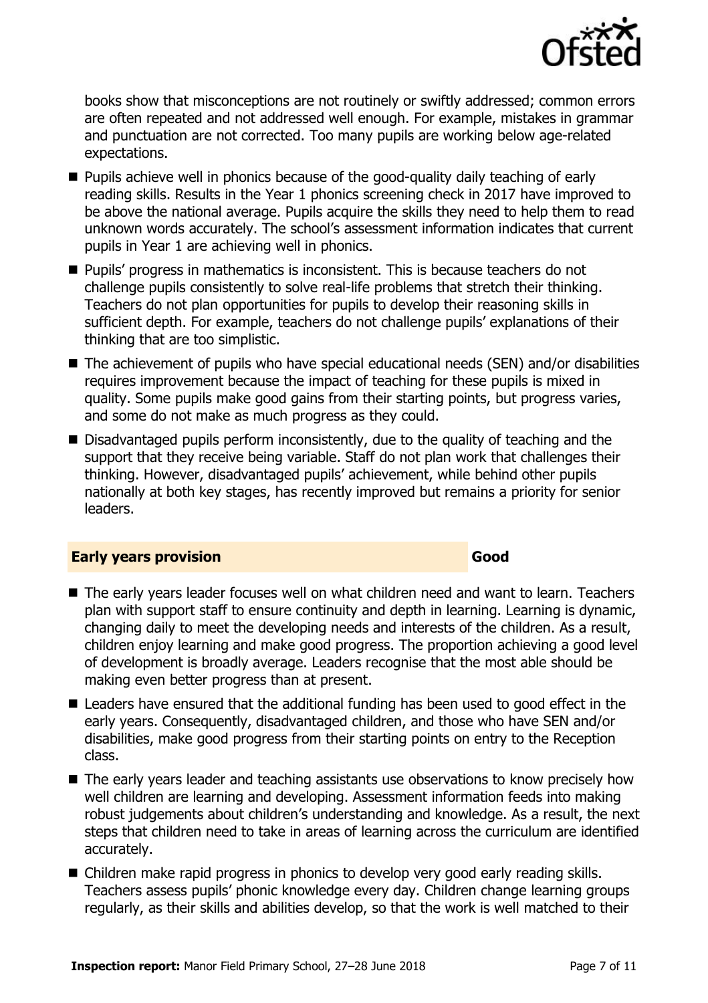

books show that misconceptions are not routinely or swiftly addressed; common errors are often repeated and not addressed well enough. For example, mistakes in grammar and punctuation are not corrected. Too many pupils are working below age-related expectations.

- Pupils achieve well in phonics because of the good-quality daily teaching of early reading skills. Results in the Year 1 phonics screening check in 2017 have improved to be above the national average. Pupils acquire the skills they need to help them to read unknown words accurately. The school's assessment information indicates that current pupils in Year 1 are achieving well in phonics.
- **Pupils' progress in mathematics is inconsistent. This is because teachers do not** challenge pupils consistently to solve real-life problems that stretch their thinking. Teachers do not plan opportunities for pupils to develop their reasoning skills in sufficient depth. For example, teachers do not challenge pupils' explanations of their thinking that are too simplistic.
- $\blacksquare$  The achievement of pupils who have special educational needs (SEN) and/or disabilities requires improvement because the impact of teaching for these pupils is mixed in quality. Some pupils make good gains from their starting points, but progress varies, and some do not make as much progress as they could.
- Disadvantaged pupils perform inconsistently, due to the quality of teaching and the support that they receive being variable. Staff do not plan work that challenges their thinking. However, disadvantaged pupils' achievement, while behind other pupils nationally at both key stages, has recently improved but remains a priority for senior leaders.

#### **Early years provision Good Good**

- The early years leader focuses well on what children need and want to learn. Teachers plan with support staff to ensure continuity and depth in learning. Learning is dynamic, changing daily to meet the developing needs and interests of the children. As a result, children enjoy learning and make good progress. The proportion achieving a good level of development is broadly average. Leaders recognise that the most able should be making even better progress than at present.
- Leaders have ensured that the additional funding has been used to good effect in the early years. Consequently, disadvantaged children, and those who have SEN and/or disabilities, make good progress from their starting points on entry to the Reception class.
- The early years leader and teaching assistants use observations to know precisely how well children are learning and developing. Assessment information feeds into making robust judgements about children's understanding and knowledge. As a result, the next steps that children need to take in areas of learning across the curriculum are identified accurately.
- Children make rapid progress in phonics to develop very good early reading skills. Teachers assess pupils' phonic knowledge every day. Children change learning groups regularly, as their skills and abilities develop, so that the work is well matched to their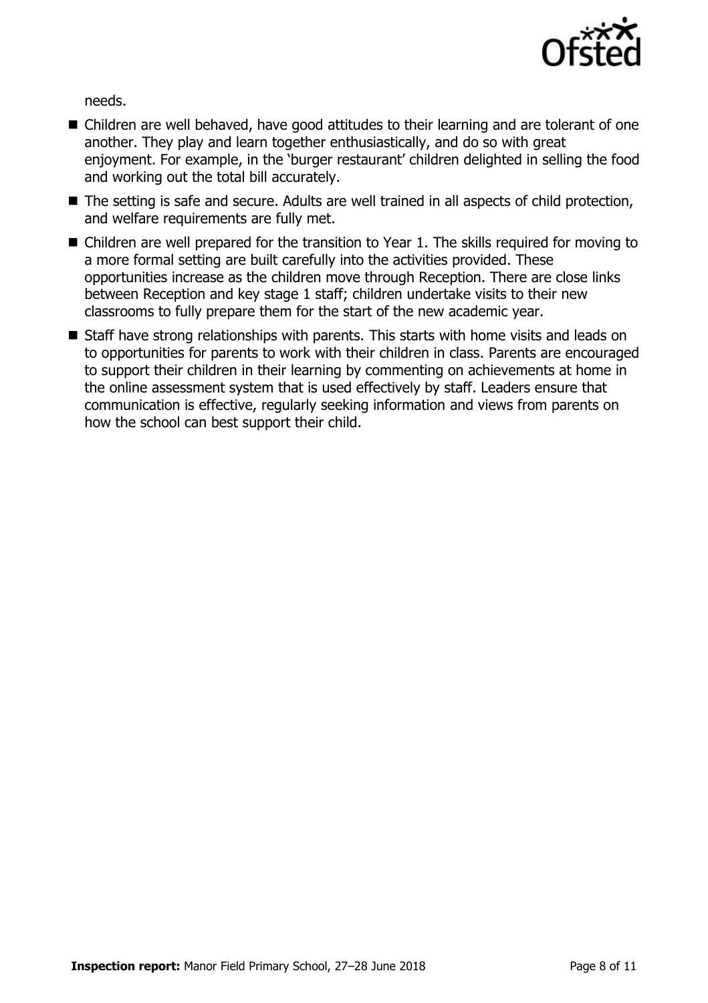

needs.

- Children are well behaved, have good attitudes to their learning and are tolerant of one another. They play and learn together enthusiastically, and do so with great enjoyment. For example, in the 'burger restaurant' children delighted in selling the food and working out the total bill accurately.
- The setting is safe and secure. Adults are well trained in all aspects of child protection, and welfare requirements are fully met.
- Children are well prepared for the transition to Year 1. The skills required for moving to a more formal setting are built carefully into the activities provided. These opportunities increase as the children move through Reception. There are close links between Reception and key stage 1 staff; children undertake visits to their new classrooms to fully prepare them for the start of the new academic year.
- Staff have strong relationships with parents. This starts with home visits and leads on to opportunities for parents to work with their children in class. Parents are encouraged to support their children in their learning by commenting on achievements at home in the online assessment system that is used effectively by staff. Leaders ensure that communication is effective, regularly seeking information and views from parents on how the school can best support their child.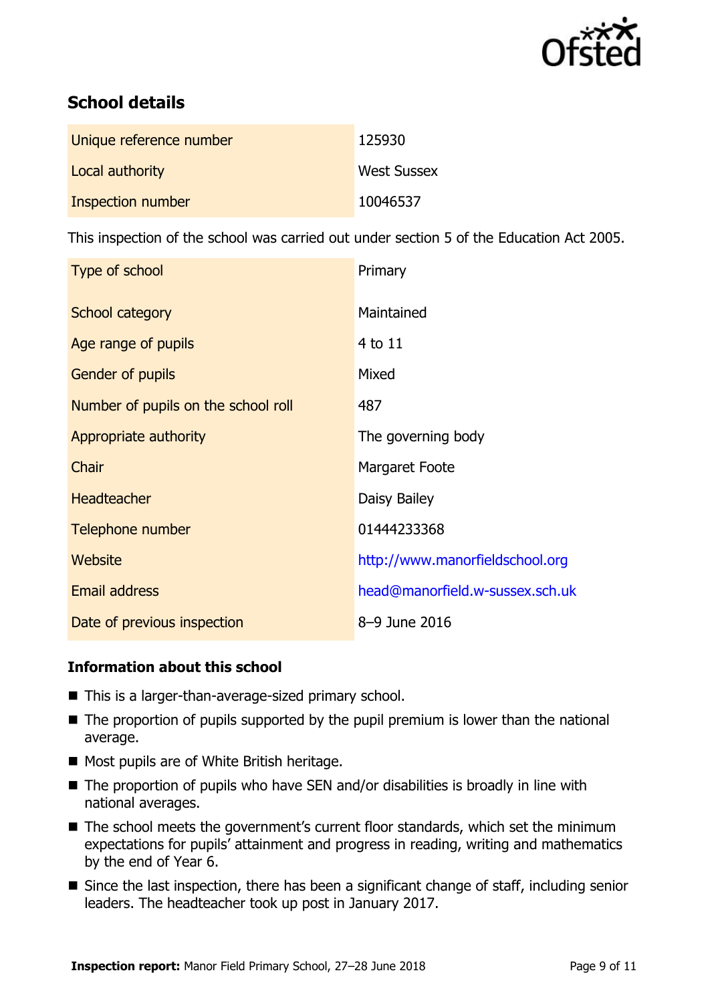

# **School details**

| Unique reference number | 125930             |
|-------------------------|--------------------|
| Local authority         | <b>West Sussex</b> |
| Inspection number       | 10046537           |

This inspection of the school was carried out under section 5 of the Education Act 2005.

| Type of school                      | Primary                         |
|-------------------------------------|---------------------------------|
| School category                     | Maintained                      |
| Age range of pupils                 | $4$ to $11$                     |
| <b>Gender of pupils</b>             | Mixed                           |
| Number of pupils on the school roll | 487                             |
| Appropriate authority               | The governing body              |
| Chair                               | Margaret Foote                  |
| <b>Headteacher</b>                  | Daisy Bailey                    |
| Telephone number                    | 01444233368                     |
| Website                             | http://www.manorfieldschool.org |
| <b>Email address</b>                | head@manorfield.w-sussex.sch.uk |
| Date of previous inspection         | 8-9 June 2016                   |

### **Information about this school**

- This is a larger-than-average-sized primary school.
- $\blacksquare$  The proportion of pupils supported by the pupil premium is lower than the national average.
- Most pupils are of White British heritage.
- $\blacksquare$  The proportion of pupils who have SEN and/or disabilities is broadly in line with national averages.
- The school meets the government's current floor standards, which set the minimum expectations for pupils' attainment and progress in reading, writing and mathematics by the end of Year 6.
- Since the last inspection, there has been a significant change of staff, including senior leaders. The headteacher took up post in January 2017.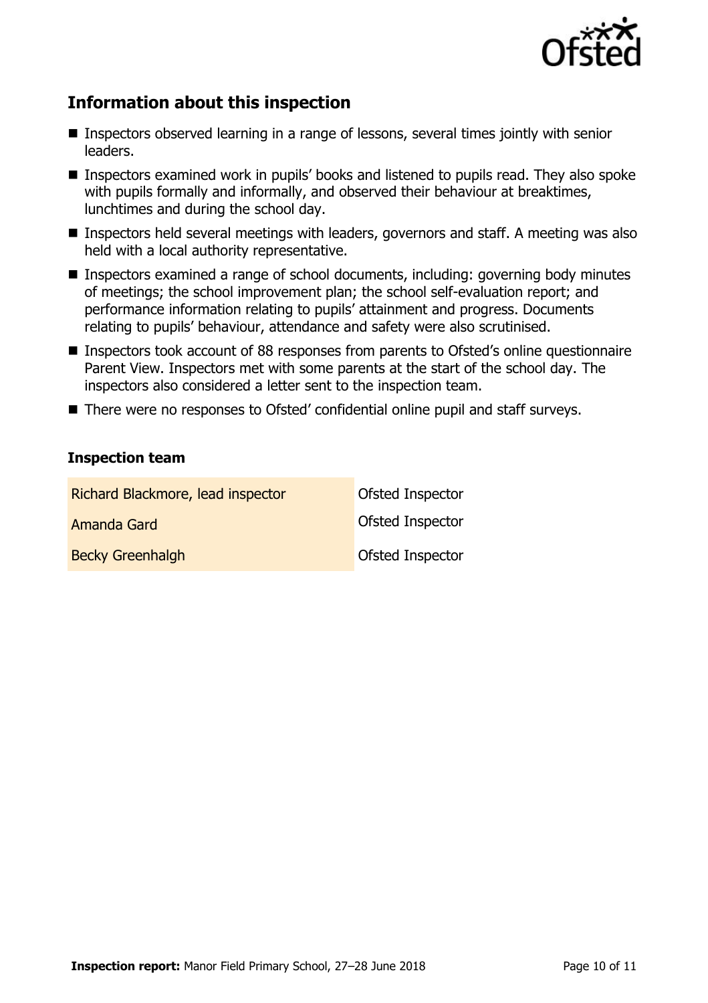

# **Information about this inspection**

- Inspectors observed learning in a range of lessons, several times jointly with senior leaders.
- Inspectors examined work in pupils' books and listened to pupils read. They also spoke with pupils formally and informally, and observed their behaviour at breaktimes, lunchtimes and during the school day.
- Inspectors held several meetings with leaders, governors and staff. A meeting was also held with a local authority representative.
- Inspectors examined a range of school documents, including: governing body minutes of meetings; the school improvement plan; the school self-evaluation report; and performance information relating to pupils' attainment and progress. Documents relating to pupils' behaviour, attendance and safety were also scrutinised.
- Inspectors took account of 88 responses from parents to Ofsted's online questionnaire Parent View. Inspectors met with some parents at the start of the school day. The inspectors also considered a letter sent to the inspection team.
- There were no responses to Ofsted' confidential online pupil and staff surveys.

#### **Inspection team**

| Richard Blackmore, lead inspector | Ofsted Inspector |
|-----------------------------------|------------------|
| Amanda Gard                       | Ofsted Inspector |
| <b>Becky Greenhalgh</b>           | Ofsted Inspector |